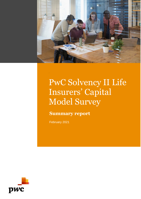

# PwC Solvency II Life Insurers' Capital Model Survey

**Summary report**

February 2021

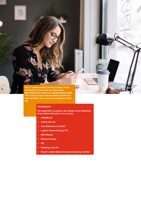**PwC's capital models survey focuses on the calibration of risks that are used when determining the Solvency Capital Requirement. This survey covers Internal Model and Partial Internal Model life insurance companies in the UK.**

### **Participants**

**We would like to express our thanks to the following firms which took part in our survey:**

- **AEGON UK**
- **AVIVA UK Life**
- **Just Retirement Limited**
- **Legal & General Group Plc**
- **NFU Mutual**
- **Phoenix Group**
- **PIC**
- **Rothesay Life Plc**
- **Royal London Mutual Insurance Society Limited**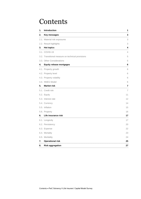## **Contents**

| 1. | Introduction                                      | 1  |
|----|---------------------------------------------------|----|
| 2. | Key messages                                      | 3  |
|    | 2.1. Material risk exposures                      | 3  |
|    | 2.2. Result highlights                            | 3  |
| 3. | <b>Hot topics</b>                                 | 4  |
|    | 3.1. COVID-19                                     | 4  |
|    | 3.2. Transitional measure on technical provisions | 5  |
|    | 3.3. Other Considerations                         | 5  |
| 4. | <b>Equity release mortgages</b>                   | 6  |
|    | 4.1. Property growth                              | 6  |
|    | 4.2. Property level                               | 6  |
|    | 4.3. Property volatility                          | 6  |
|    | 4.4. NNEG Model                                   | 6  |
| 5. | <b>Market risk</b>                                | 7  |
|    | 5.1. Credit risk                                  | 7  |
|    | 5.2. Equity                                       | 11 |
|    | 5.3. Interest rate                                | 12 |
|    | 5.4. Currency                                     | 14 |
|    | 5.5. Inflation                                    | 15 |
|    | 5.6. Property                                     | 16 |
| 6. | Life insurance risk                               | 17 |
|    | 6.1. Longevity                                    | 17 |
|    | 6.2. Persistency                                  | 20 |
|    | 6.3. Expense                                      | 22 |
|    | 6.4. Mortality                                    | 23 |
|    | 6.5. Morbidity                                    | 24 |
| 7. | <b>Operational risk</b>                           | 25 |
| 8. | <b>Risk aggregation</b>                           | 27 |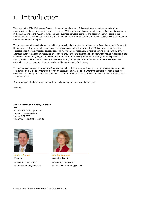## <span id="page-3-0"></span>1. Introduction

Welcome to the 2020 life insurers' Solvency II capital models survey. This report aims to capture aspects of the methodology and the stresses applied in the year-end 2019 capital models across a wide range of risks and any changes in the calibrations over 2019, in order to help your business compare its model and assumptions with peers in the market. This can provide valuable insights at a time when many insurers continue to be in discussion with their regulators over planned model changes.

The survey covers the evaluation of capital for the majority of risks, drawing on information from nine of the UK's largest life insurers. Each year we determine specific questions on selected 'hot topics'. For 2020 we have considered the expected impact of the infectious disease caused by severe acute respiratory syndrome coronavirus 2 (COVID-19), the approach taken to transitional measures on technical provisions, and other considerations which include modelling of the Consumer Price Index (CPI), the latest updates to the PRA's Supervisory Statement SS3/17, and the implications of moving away from the London Inter-Bank Overnight Rate (LIBOR). We capture information on a wide range of risk calibrations and compare it to the results collected in recent years of this survey.

The survey covers a diverse range of UK participants, all of which are currently using either an approved internal model or a partial internal model. Where there is not an approved internal model, or where the standard formula is used for certain risks within a partial internal model, we asked for information on an economic capital calibration as it stood at 31 December 2019.

Our thanks go to the firms which took part for kindly sharing their time and their insights.

Regards,

#### **Andrew James and Ainsley Normand** PwC PricewaterhouseCoopers LLP 7 More London Riverside London SE1 2RT Telephone +44 (0) 2075 835000



**Andrew James** Director M: +44 (0)7725 706317 E: andrew.james@pwc.com



**Ainsley Normand** Associate Director M: +44 (0)7841 011242 E: ainsley.m.normand@pwc.com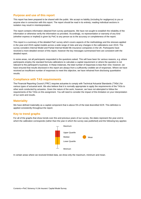## **Purpose and use of this report**

This report has been prepared to be shared with the public. We accept no liability (including for negligence) to you or anyone else in connection with this report. The report should be read in its entirety; reading individual sections in isolation may result in misinterpretation.

The report contains information obtained from survey participants. We have not sought to establish the reliability of the information or otherwise verify the information so provided. Accordingly, no representation or warranty of any kind (whether express or implied) is given by PwC to any person as to the accuracy or completeness of the report.

This report is a summary of the detailed PwC survey which covers aspects of the methodology and the stresses applied in the year-end 2019 capital models across a wide range of risks and any changes in the calibrations over 2019. The survey considers Internal Model and Partial Internal Model life insurance companies in the UK. Participants have received a more detailed version of this report, however the key messages summarised here are consistent with the detailed report.

In some areas, not all participants responded to the questions asked. This will have been for various reasons, e.g. where participants employ the standard formula calibrations to calculate a capital requirement or where the question is not relevant to the participant's business. In these instances, the total number of responses is less than nine; however, we have ensured that results disclosed in this report are always from a sufficiently credible set of responses. Where we have received an insufficient number of responses to meet this objective, we have refrained from disclosing quantitative results.

## **Compliance with TAS requirements**

The Financial Reporting Council ('FRC') requires actuaries to comply with Technical Actuarial Standards ('TASs') for various types of actuarial work. We also believe that it is normally appropriate to apply the requirements of the TASs to other work conducted by actuaries. Given the nature of the work, however, we have not attempted to follow the requirements of the TASs on this assignment. You will need to consider the impact of this limitation on your interpretation of our work and results.

## **Materiality**

We have defined materiality as a capital component that is above 5% of the total diversified SCR. This definition is applied consistently throughout the report.

## **Key to trend graphs**

For all of the graphs that show trends over this and previous years of our survey, the dates represent the year-end to which the calibration corresponds (rather than the year in which the survey was published) and the following key applies:



In certain areas where we received limited data, we show only the maximum, minimum and mean.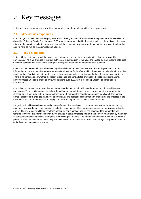## <span id="page-5-0"></span>2. Key messages

In this section we summarise the key themes emerging from the results provided by our participants.

## <span id="page-5-1"></span>**2.1. Material risk exposures**

Credit, longevity, persistency and equity risks remain the highest individual contributors to participants' undiversified and diversified Solvency Capital Requirement ('SCR'). While we again asked for less information on these risks in the survey this year, they continue to be the largest sections of the report. We also consider the calibration of less material market and life risks as well as the aggregation of all risks.

## <span id="page-5-2"></span>**2.2. Result highlights**

In line with the last few years of the survey, we continue to see stability in the calibrations that are provided by participants. The main changes in the results this year in comparison to last year are caused by the update to data used within the calibrations as well as the change in participants that have responded to each question.

Over 2020 the insurance industry has been significantly impacted by COVID-19 and hence this year we asked for information about how participants propose to make allowance for its effects within the capital model calibrations. Only a small number of participants intended to amend their existing model calibrations at the time the survey was carried out. There is no consensus on whether the recent experience has contradicted or supported existing risk correlations, however most participants intend to review correlations over 2021, with a focus on pandemic and market risk interactions.

Credit risk continues to be a subjective and highly material market risk, with varied approaches observed between participants. There is little consensus in how the calibrated spread stresses have changed over the year, either in direction or in magnitude, but the average stress for a 10-year A-rated bond has decreased significantly for financial bonds (largely due to changes made by one participant) and decreased slightly for non-financial bonds. Updates to the calibrations for other market risks are largely due to refreshing the data on which they are based.

Longevity risk calibrations have generally been refreshed this year based on updated data, rather than methodology changes. However, longevity risk continues to be the most material life insurance risk across the participants within the survey. The average overall longevity stress applied by participants at age 65 has decreased for both males and females. However, this change is driven by the change in participants responding to the survey, rather than by a number of participants making significant changes to their existing calibrations. The changes seen this year continue the recent pattern of small fluctuations around a fairly stable level with no obvious trend, as did the average change in expectation of life from the longevity trend stress.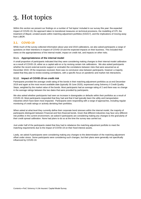# <span id="page-6-0"></span>3. Hot topics

Within this section we present our findings on a number of 'hot topics' included in our survey this year: the expected impact of COVID-19, the approach taken to transitional measures on technical provisions, the modelling of CPI, the treatment of illiquid, unrated assets within matching adjustment portfolios (SS3/17), and the implications of moving away from LIBOR.

## <span id="page-6-1"></span>**3.1. COVID-19**

While much of the survey collected information about year-end 2019 calibrations, we also asked participants a range of questions on their intentions in respect of COVID-19 and the expected impacts on their business. This included their views on the appropriateness of the internal model, impact on credit risk, and impacts on other risks.

#### **3.1.1. Appropriateness of the internal model**

A small proportion of participants indicated that they were considering making changes to their internal model calibration as a result of COVID-19, either as a capital add-on or by revising certain risk calibrations. We also asked participants whether the recent external events support or contradict the correlations between risks that were assumed as at December 2019. Of the responses received, there was no conclusive view between participants, however a majority stated that they plan to review existing correlations, with a specific focus on pandemic and market risk interactions.

#### **3.1.2. Impact of COVID-19 on credit risk**

Participants provided the average credit rating of the bonds in their matching adjustment portfolios as at end December 2019 and again at the most recent available date (typically 30 June 2020), expressed using Solvency II Credit Quality Steps, weighted by the market value of the bonds. Most participants had an average rating of 2 and there was no change in the average ratings between the two dates that were provided by participants.

We also asked whether participants had seen an increase in downgrades or defaults within their portfolios as a result of COVID-19. Most participants responded that they had and that it had typically been the utility and transportation industries which have been most impacted. Participants were responding with a range of approaches, including regular monitoring of credit ratings or actively derisking their portfolios.

When asked at what level they currently define their corporate bond stresses within the internal model, the majority of participants distinguish between Financial and Non-financial bonds. Given that different industries may face very different risk profiles in the current environment, we asked if participants are considering making any changes to the granularity of their credit spread calibration. None had plans to do so at the time the survey was carried out.

Just under half of the participants stated that they had to rebalance the matching adjustment portfolio to meet the matching requirements due to the impact of COVID-19 on their fixed interest assets.

Lastly, we asked if participants were considering making any changes to the determination of the matching adjustment offset under stress. Some participants were considering such changes, but their plans were generally not specifically influenced by COVID-19.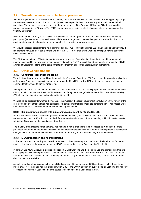## <span id="page-7-0"></span>**3.2. Transitional measure on technical provisions**

Since the implementation of Solvency II on 1 January 2016, firms have been allowed (subject to PRA approval) to apply a transitional measure on technical provisions (TMTP) to dampen the initial impact of any increase in net technical provisions. This impact is measured relative to the more onerous of the Solvency I Pillar 1 or Pillar 2 bases and is reduced over a period of 16 years. The TMTP can be applied to business which also uses either the matching or the volatility adjustment.

Most respondents currently have a TMTP. The TMTP as a percentage of SCR varies considerably between survey participants (between about 25% and 100%); this is a wider range than observed last year and shows that the TMTP continues to be a material contributor to the overall solvency ratio for many participants.

We would expect all participants to have performed at least two recalculations since 2016 given the biennial Solvency II requirement, however most participants have reset the TMTP more than twice, with one participant having performed seven recalculations.

The PRA stated in March 2020 that market movements since end December 2019 met the threshold for a material change in risk profile, so they were accepting applications for a TMTP recalculation at end March, as a result of COVID-19 market turbulence. None of the participants told us that they applied for a recalculation at that time.

## <span id="page-7-1"></span>**3.3. Other Considerations**

#### **3.3.1. Consumer Price Index Modelling**

We asked participants whether and how they model the Consumer Price Index (CPI) and about the potential implications of the recent Government consultation on the reform of the Retail Price Index (RPI) methodology. Most participants confirmed that they use CPI in their modelling.

All respondents that use CPI in their modelling use it to model liabilities and a small proportion also stated that they use CPI to model assets that are linked to CPI. When asked if they use a 'wedge' relative to the RPI curve when modelling CPI, all participants that responded confirmed that they did.

We also asked participants whether they consider the impact of the recent government consultation on the reform of the RPI methodology on their inflation risk calibration. All participants that responded are considering this, with most having changed either their best estimate or stressed CPI wedge assumption.

#### **3.3.2. Illiquid, unrated assets within matching adjustment portfolios (SS 3/17)**

For this section we asked participants questions related to SS 3/17 (specifically the new section 4 and the expanded requirements in section 2) which sets out the PRA's expectations in respect of firms investing in illiquid, unrated assets within their Solvency II matching adjustment portfolios.

The majority of participants stated that they had not had to make changes to their processes as a result of the more prescribed requirements around risk identification and internal rating assessments. None of the respondents consider the changes in the requirements to have been a deterrent for investing in income-producing real estate assets.

#### **3.3.3. LIBOR transition and its implications**

In this section we asked participants questions focused on the move away from LIBOR and the implications for internal model calibrations, as the widespread use of LIBOR is expected to end by December 2021 in the UK.

In January 2020 EIOPA issued a discussion paper on IBOR transitions and the potential use of a blended risk-free rate was highlighted. We asked participants how they plan to allow for stresses if a blended risk-free curve exists. Of those that responded, most participants confirmed they do not have any imminent plans at this stage and will wait for further details to become available.

A small proportion of participants either model Sterling overnight index average (SONIA) stresses within their internal model or allow for the basis risk that exists between LIBOR and SONIA through an out of model adjustment. The majority of respondents have not yet decided on the source to use in place of IBOR outside the UK.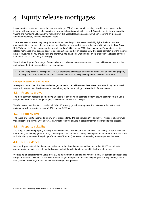# <span id="page-8-0"></span>4. Equity release mortgages

Illiquid unrated assets such as equity release mortgages (ERM) have been increasingly used in recent years by life insurers with large annuity books to optimise their capital position under Solvency II. Given the subjectivity involved in valuing and managing ERMs and the materiality of this asset class, such assets have been receiving an increased amount of regulatory scrutiny over recent years.

There has been increased regulatory focus on ERMs over the past few years, which highlights the importance of ensuring that the relevant risks are properly modelled in the base and stressed valuations. Within the letter from David Rule 'Solvency II: Equity release mortgages' released on 10 December 2018, it was stated that 'restructured equity release mortgages are a suitable asset to back annuities as part of an appropriately diversified portfolio'. Several insurers have restructured their ERMs, splitting the cashflows into loan notes with different levels of security. Valuation of these loan notes can be particularly challenging.

We asked participants for a range of quantitative and qualitative information on their current calibrations, data and the methodology for their base and stressed assumptions.

In line with prior year, participants' 1-in-200 property level stresses sit within the range 20% to 33%. The property volatility stress is typically an addition to the best-estimate volatility assumption of between 4% and 9%.

#### **Changes in approach over the year**

A few participants noted that they made changes related to the calibration of risks related to ERMs during 2019, which were split between simply refreshing the data, changing the methodology or doing both of these things.

### <span id="page-8-1"></span>**4.1. Property growth**

The most common approach adopted by participants to set their best estimate property growth assumption is to use a margin over RPI, with the margin ranging between about 0.5% and 0.8% p.a.

We also asked participants to provide their 1-in-200 property growth assumptions. Reductions applied to the best estimate growth rate varied between 1.6% p.a. and 3.0% p.a.

### <span id="page-8-2"></span>**4.2. Property level**

The range of 1-in-200 calibrated property level stresses for ERMs lies between 20% and 33%. This is slightly narrower than in last year's survey (19% to 36%), mainly reflecting the change in participants that responded to this question.

#### <span id="page-8-3"></span>**4.3. Property volatility**

The range of assumed property volatility in base conditions lies between 13% and 15%. This is very similar to what we saw in last year's survey (12% to 15%). The range of additions to the volatility assumption under stress is from 4% to 8% which is slightly narrower than prior year's survey (4% to 10%) as a result of receiving fewer responses this year.

#### <span id="page-8-4"></span>**4.4. NNEG Model**

Most participants stated that they use a real-world, rather than risk-neutral, calibration for their NNEG model, with another option being to use both methodologies and set the valuation to be equal to the lower of the two.

We also asked participants the value of NNEG as a proportion of the total fair value of their ERM portfolio and responses ranged from 5% to 18%. This is narrower than the range of responses received last year (2% to 30%), although this is mainly due to the change in mix of those responding to this question.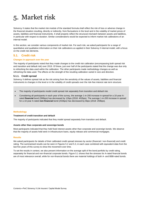## <span id="page-9-0"></span>5. Market risk

Solvency II states that the market risk module of the standard formula shall reflect the risk of loss or adverse change in the financial situation resulting, directly or indirectly, from fluctuations in the level and in the volatility of market prices of assets, liabilities and financial instruments. It shall properly reflect the structural mismatch between assets and liabilities, in particular with respect to duration. Similar considerations would be expected to inform market risk calibrations of an internal model.

In this section, we consider various components of market risk. For each risk, we asked participants for a range of quantitative and qualitative information on their risk calibrations as applied in their Solvency II internal model, with a focus on the credit risk elements.

## <span id="page-9-1"></span>**5.1. Credit risk**

#### **Changes in approach over the year**

The majority of participants noted that they made changes to the credit risk calibration (encompassing both spread risk and transition and default risk) over 2019. Of these, just over half of the participants stated that the change was due only to refreshing the data used within the calibration. The other participants made methodology changes as well as refreshing the data used. The effects on the strength of the resulting calibration varied in size and direction.

#### **5.1.1. Credit spread**

Solvency II defines spread risk as the risk arising from the sensitivity of the values of assets, liabilities and financial instruments to changes in the level or in the volatility of credit spreads over the risk-free interest rate term structure.

- The majority of participants model credit spread risk separately from transition and default risk.
- Considering all participants in each year of the survey, the average 1-in-200 increase in spread for a 10-year Arated **financial** bond (390bps) has decreased by 12bps (2018: 402bps). The average 1-in-200 increase in spread for a 10-year A-rated **non-financial** bond (253bps) has decreased by 6bps (2018: 259bps).

#### **Methodology**

#### **Treatment of credit transition and default**

The majority of participants indicated that they model spread separately from transition and default.

#### **Assets other than corporate and sovereign bonds**

Most participants indicated that they hold fixed interest assets other than corporate and sovereign bonds. We observe that the majority of assets held were in infrastructure loans, equity release and commercial mortgages.

#### **Results**

We asked participants for details of their calibrated credit spread stresses by sector (financial / non-financial) and credit rating. The summarised results can be seen in Figures 5.2 and 5.3, in each case combined with equivalent data from the last five years of this survey to show the movement over time.

To set the results in context, we also present information on the average split of the bond portfolio by credit rating, separately for financial and non-financial corporate bonds. Figure 5.1 shows that the stresses for A-rated financial bonds are of most relevance overall, while for non-financial bonds there are material holdings of both A- and BBB-rated bonds.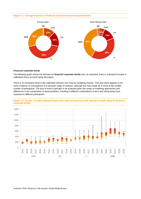#### **Figure 5.1: Average exposure to financial and non-financial corporate bonds**



#### **Financial corporate bonds**

The following graph shows the stresses for **financial corporate bonds** only. As expected, there is a general increase in calibrated stress as bond rating decreases.

There is no consistent trend in the calibrated stresses over time as modelling evolves. This year there appears to be some evidence of convergence to a narrower range of stresses, although this may simply be a result of the smaller number of participants. The lack of trend is perhaps to be expected given the range of modelling approaches and differences in the composition of asset portfolios, resulting in different combinations of term and rating being more important to different participants.



**Figure 5.2: 10 year, 1-in-200 calibrated basis point yield increase for credit spread by credit rating for financial corporate bonds.**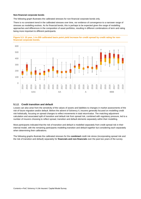#### **Non-financial corporate bonds**

The following graph illustrates the calibrated stresses for non-financial corporate bonds only.

There is no consistent trend in the calibrated stresses over time, nor evidence of convergence to a narrower range of stresses as modelling evolves. As for financial bonds, this is perhaps to be expected given the range of modelling approaches and differences in the composition of asset portfolios, resulting in different combinations of term and rating being more important to different participants.





#### **5.1.2. Credit transition and default**

Losses can also arise from the sensitivity of the values of assets and liabilities to changes in market assessments of the risk of future migration and/or default. Before the advent of Solvency II, insurers generally focused on modelling credit risk holistically, focusing on spread changes to reflect movements in total return/value. The matching adjustment calculation and associated split of transition and default risk from spread risk, combined with regulatory pressure, led to a number of insurers choosing to reflect spread, transition and default elements separately within their modelling.

Most participants indicated that the risk of transition and default is modelled separately from credit spread risk in their internal model, with the remaining participants modelling transition and default together but considering each separately when determining their calibrations.

The following graphs illustrate the calibrated stresses for the **combined** credit risk stress (incorporating spread risk and the risk of transition and default) separately for **financials and non-financials** over the past two years of the survey.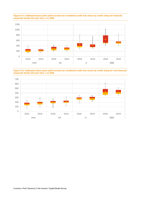



**Figure 5.5: Calibrated basis point yield increase for combined credit risk stress by credit rating for non-financial corporate bonds (10 year term, 1-in-200).**

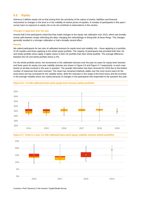## <span id="page-13-0"></span>**5.2. Equity**

Solvency II defines equity risk as that arising from the sensitivity of the values of assets, liabilities and financial instruments to changes in the level or in the volatility of market prices of equities. A number of participants in this year's survey have no exposure to equity risk so do not contribute to observations in this section.

#### **Changes in approach over the year**

Around half of the participants noted that they made changes to the equity risk calibration over 2019, which was broadly evenly split between simply refreshing the data, changing the methodology or doing both of these things. The changes generally resulted in a stronger calibration or had a broadly neutral effect.

#### **Results**

We asked participants for two sets of calibrated stresses for equity level and volatility risk – those applying to a portfolio of UK equities and those applying to the whole equity portfolio. The majority of participants that provided both their UK and whole portfolio stress apply a higher stress to their UK portfolio than their whole portfolio. The average difference between the UK and whole portfolio stress is 4%.

For the whole portfolio stress, the movements in the calibrated stresses over the past six years for equity level stresses and three years for equity one-year volatility stresses are shown in Figure 5.6 and Figure 5.7 respectively, in each case based on all data received in the year in question. The quartile information has been removed for 2019 due to the limited number of responses that were received. The mean has remained relatively stable over the most recent years for the level stress but has increased for the volatility stress. Both the reduction in the range of the level stress and the increase in the average volatility stress are mainly because of changes in the participants that responded to the question this year.







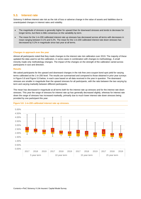## <span id="page-14-0"></span>**5.3. Interest rate**

Solvency II defines interest rate risk as the risk of loss or adverse change in the value of assets and liabilities due to unanticipated changes in interest rates and volatility.

- The magnitude of stresses is generally higher for upward than for downward stresses and tends to decrease for longer terms, but there is little consensus on the variability by term.
- The mean for the 1-in-200 calibrated interest rate up stresses has decreased across all terms with decreases in mean ranging between 0.1% and 0.2%. The mean for the 1-in-200 calibrated interest rate down stresses has decreased by 0.2% in magnitude since last year at all terms.

#### **Changes in approach over the year**

Almost all participants noted that they made changes to the interest rate risk calibration over 2019. The majority of these updated the data used to set the calibration, in some cases in combination with changes to methodology. A small minority made only methodology changes. The impact of the changes on the strength of the calibration varied across participants in size and direction.

#### **Results**

We asked participants for the upward and downward changes in the risk-free zero-coupon bond spot yield for varying terms calibrated at the 1-in-200 level. The results are summarised and compared to those obtained in prior year surveys in Figure 5.8 and Figure 5.9 below, in each case based on all data received in the year in question. The downward stresses are smaller in magnitude than the upward stresses for all participants, with the ratio between the two varying by term and varying markedly between different participants.

The mean has decreased in magnitude at all terms both for the interest rate up stresses and for the interest rate down stresses. This year the range of stresses for interest rate up has generally decreased slightly, whereas for interest rate down the range of stresses has increased markedly, primarily due to much lower interest rate down stresses being provided by one participant this year.



#### **Figure 5.8: 1-in-200 calibrated interest rate up stresses.**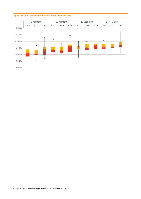

#### **Figure 5.9: 1-in-200 calibrated interest rate down stresses.**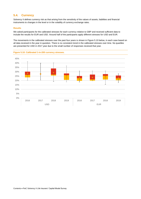## <span id="page-16-0"></span>**5.4. Currency**

Solvency II defines currency risk as that arising from the sensitivity of the values of assets, liabilities and financial instruments to changes in the level or in the volatility of currency exchange rates.

#### **Results**

We asked participants for the calibrated stresses for each currency relative to GBP and received sufficient data to include the results for EUR and USD. Around half of the participants apply different stresses for USD and EUR.

The movements in the calibrated stresses over the past four years is shown in Figure 5.10 below, in each case based on all data received in the year in question. There is no consistent trend in the calibrated stresses over time. No quartiles are presented for USD in 2017 year due to the small number of responses received that year.

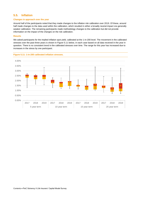## <span id="page-17-0"></span>**5.5. Inflation**

#### **Changes in approach over the year**

Around half of the participants noted that they made changes to the inflation risk calibration over 2019. Of these, around half made changes to the data used within the calibration, which resulted in either a broadly neutral impact ora generally weaker calibration. The remaining participants made methodology changes to the calibration but did not provide information on the impact of the changes on the risk calibration.

#### **Resu**l**ts**

We asked participants for the implied inflation spot yield, calibrated at the 1-in-200 level. The movement in the calibrated stresses over the past three years is shown in Figure 5.11 below, in each case based on all data received in the year in question. There is no consistent trend in the calibrated stresses over time. The range for this year has increased due to increases in the stress by one participant.

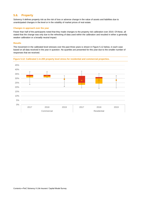## <span id="page-18-0"></span>**5.6. Property**

Solvency II defines property risk as the risk of loss or adverse change in the value of assets and liabilities due to unanticipated changes in the level or in the volatility of market prices of real estate.

#### **Changes in approach over the year**

Fewer than half of the participants noted that they made changes to the property risk calibration over 2019. Of these, all stated that the change was only due to the refreshing of data used within the calibration and resulted in either a generally weaker calibration or a broadly neutral impact.

#### **Results**

The movement in the calibrated level stresses over the past three years is shown in Figure 5.12 below, in each case based on all data received in the year in question. No quartiles are presented for this year due to the smaller number of responses that we received.



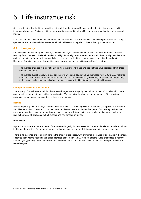# <span id="page-19-0"></span>6. Life insurance risk

Solvency II states that the life underwriting risk module of the standard formula shall reflect the risk arising from life insurance obligations. Similar considerations would be expected to inform life insurance risk calibrations of an internal model.

In this section, we consider various components of life insurance risk. For each risk, we asked participants for a range of quantitative and qualitative information on their risk calibrations as applied in their Solvency II internal model.

## <span id="page-19-1"></span>**6.1. Longevity**

Longevity risk, as defined by Solvency II, is the risk of loss, or of adverse change in the value of insurance liabilities, resulting from changes in the level, trend or volatility of mortality rates, where a decrease in the mortality rates leads to an increase in the value of the insurance liabilities. Longevity risk affects contracts where benefits depend on the likelihood of survival, for example annuities, pure endowments and specific types of health contract.

- The average changes in expectation of life from the longevity base and trend stress have decreased from those observed last year.
- The average overall longevity stress applied by participants at age 65 has decreased from 3.00 to 2.58 years for males and from 2.90 to 2.51 years for females. This is primarily driven by the change in participants responding to the survey, rather than by individual companies making significant changes to their calibrations.

#### **Changes in approach over the year**

The majority of participants noted that they made changes to the longevity risk calibration over 2019, all of which were only the refreshing of data used within the calibration. The impact of the changes on the strength of the resulting calibration varied across participants in both size and direction.

#### **Results**

We asked participants for a range of quantitative information on their longevity risk calibration, as applied to immediate annuities, at a 1-in-200 level and combined it with equivalent data from the last five years of this survey to show the movement over time. None of the participants told us that they distinguish the stresses by smoker status and so the results below are all applicable to both smoker and non-smoker annuities.

#### **Base stress**

Figure 6.1 shows the impacts in years of the 1-in-200 longevity base stresses for 65-year-old male and female annuitants in this and the previous five years of our survey, in each case based on all data received in the year in question.

There is no evidence of a long-term trend in the impact of the stress, with only small increases or decreases in the mean observed from year to year until the larger decrease observed this year. We note that the range of stresses is narrower than last year, primarily due to the lack of response from some participants which were towards the upper end of the range last year.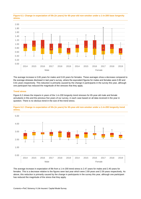

**Figure 6.1: Change in expectation of life (in years) for 65-year-old non-smoker under a 1-in-200 base longevity stress.**

The average increase is 0.65 years for males and 0.63 years for females. These averages show a decrease compared to the average stresses disclosed in last year's survey, where the equivalent figures for males and females were 0.80 and 0.81 years respectively. This reduction is primarily caused by the change in participants in the survey this year, although one participant has reduced the magnitude of the stresses that they apply.

#### **Trend stress**

Figure 6.2 shows the impacts in years of the 1-in-200 longevity trend stresses for 65-year-old male and female annuitants in this and the previous five years of our survey, in each case based on all data received in the year in question. There is no obvious trend in the size of the trend stress.



**Figure 6.2: Change in expectation of life (in years) for 65-year-old non-smoker under a 1-in-200 longevity trend stress.**

The average increase in expectation of life from a 1-in-200 trend stress is 2.47 years for males and 2.40 years for females. This is a decrease relative to the figures seen last year which were 2.69 years and 2.59 years respectively. As above, this reduction is primarily caused by the change in participants in the survey this year, although one participant has reduced the magnitude of the stress that they apply.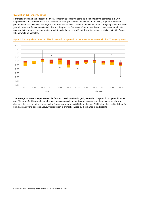#### **Overall 1-in-200 longevity stress**

For most participants the effect of the overall longevity stress is the same as the impact of the combined 1-in-200 longevity base and trend stresses but, since not all participants use a two-risk-factor modelling approach, we have presented the final overall stress. Figure 6.3 shows the impacts in years of the overall 1-in-200 longevity stresses for 65 year-old male and female annuitants in this and the previous five years of our survey, in each case based on all data received in the year in question. As the trend stress is the more significant driver, the pattern is similar to that in Figure 6.2, as would be expected.



Figure 6.3: Change in expectation of life (in years) for 65-year-old non-smoker under an overall 1-in-200 longevity stress.

The average increase in expectation of life from an overall 1-in-200 longevity stress is 2.58 years for 65-year-old males and 2.51 years for 65-year-old females. Averaging across all the participants in each year, these averages show a decrease this year, with the corresponding figures last year being 3.00 for males and 2.90 for females. As highlighted for both base and trend stresses above, this reduction is primarily caused by the change in participants.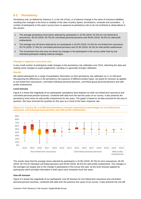## <span id="page-22-0"></span>**6.2. Persistency**

Persistency risk, as defined by Solvency II, is the risk of loss, or of adverse change in the value of insurance liabilities, resulting from changes in the level or volatility of the rates of policy lapses, terminations, renewals and surrenders. A number of participants in this year's survey have no exposure to persistency risk so do not contribute to observations in this section.

- The average persistency level stress selected by participants is 42.9% (2018: 45.2%) for non-linked term assurances, 46.3% (2018: 49.7%) for unit-linked personal pensions and 49.8% (2018: 48.2%) for with-profit endowments.
- The average one-off stress selected by our participants is 18.3% (2018: 24.4%) for non-linked term assurance, 26.7% (2018: 27.9%) for unit-linked personal pensions and 23.3% (2018: 26.2%) for with-profits endowments.
- The movements from last year are driven by changes in the participants in the survey rather than by any individual participant making material changes.

#### **Changes in approach since prior year**

A very small number of participants made changes to the persistency risk calibration over 2019, refreshing the data and making some changes to expert judgements, resulting in a generally stronger calibration.

#### **Results**

We asked participants for a range of quantitative information on their persistency risk calibration at a 1-in-200 level. Recognising the differences in the persistency risk exposure of different product types, we asked for stresses as applied to non-linked term assurances, unit-linked individual personal pensions, unit-linked group personal pensions and withprofits endowments.

#### **Level stresses**

Figure 6.4 shows the magnitude of our participants' persistency level stresses for both non-linked term assurance and unit-linked personal pension business, combined with data from the last five years of our survey. It also presents the persistency level stress for with-profits endowments for two years. The graph is based on all data received for the year in question. We have removed the quartiles for this year as a result of the lower response rate.



**Figure 6.4: Trend in the 1-in-200 level persistency stresses expressed as percentages for non-linked term assurance, unit linked personal pensions and with-profits endowments.**

The results show that the average stress selected by participants is 42.9% (2018: 45.2%) for term assurances, 46.3% (2018: 49.7%) for individual unit-linked pensions and 49.8% (2018: 48.2%) for with-profits endowments. The changes in the averages are largely due to the change in participants in the survey this year, as the level stresses applied by participants which provided information in both years have remained much the same.

#### **One-off stresses**

Figure 6.5 shows the magnitude of our participants' one-off stresses for non-linked term assurance and unit-linked personal pension business, combined with data from the previous four years of our survey. It also presents the one-offl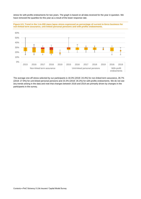stress for with-profits endowments for two years. The graph is based on all data received for the year in question. We have removed the quartiles for this year as a result of the lower response rate.





The average one-off stress selected by our participants is 18.3% (2018: 24.4%) for non-linked term assurance, 26.7% (2018: 27.9%) for unit-linked personal pensions and 23.3% (2018: 26.2%) for with-profits endowments. We do not see any trends arising in the data and note that changes between 2018 and 2019 are primarily driven by changes in the participants in the survey.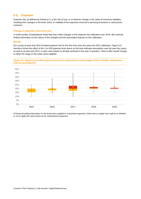### <span id="page-24-0"></span>**6.3. Expense**

Expense risk, as defined by Solvency II, is the risk of loss, or of adverse change in the value of insurance liabilities, resulting from changes in the level, trend, or volatility of the expenses incurred in servicing insurance or reinsurance contracts.

#### **Changes in approach since prior year**

A small number of participants noted that they made changes to the expense risk calibration over 2019. We received limited information on the nature of the changes and the associated impacts on the calibration.

#### **Results**

Our survey at year-end 2016 included expense risk for the first time since the year-end 2013 calibration. Figure 6.6 therefore shows the effect of the 1-in-200 expense level stress on the best estimate assumption over the past four years as well as at year-end 2013, in each case based on all data received in the year in question. There is litle overall change in either the range or the mean stress applied.

**Figure 6.6: Impact of 1-in-200 expense level stress expressed as a percentage of best estimate maintenance expense assumptions.**



Of those providing information on the level stress applied to investment expenses, there was a roughly even split as to whether or not to apply the same stress as for maintenance expenses.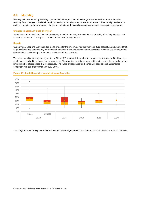### <span id="page-25-0"></span>**6.4. Mortality**

Mortality risk, as defined by Solvency II, is the risk of loss, or of adverse change in the value of insurance liabilities, resulting from changes in the level, trend, or volatility of mortality rates, where an increase in the mortality rate leads to an increase in the value of insurance liabilities. It affects predominantly protection contracts, such as term assurance.

#### **Changes in approach since prior year**

**Figure 6.7: 1-in-200 mortality one-off stresses (per mille)**

A very small number of participants made changes to their mortality risk calibration over 2019, refreshing the data used to set the calibration. The impact on the calibration was broadly neutral.

#### **Results**

Our survey at year-end 2016 included mortality risk for the first time since the year-end 2013 calibration and showed that all participants had removed any differentiation between males and females in the calibrated stresses. We also found no differentiation between ages or between smokers and non-smokers.

The base mortality stresses are presented in Figure 6.7, separately for males and females as at year-end 2013 but as a single stress applied to both genders in later years. The quartiles have been removed from the graph this year due to the limited number of responses that we received. The range of responses for the mortality base stress has remained consistent with our prior year survey (8%–25%).



The range for the mortality one-off stress has decreased slightly from 0.94–3.00 per mille last year to 1.00–3.00 per mille.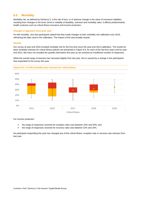## <span id="page-26-0"></span>**6.5. Morbidity**

Morbidity risk, as defined by Solvency II, is the risk of loss, or of adverse change in the value of insurance liabilities, resulting from changes in the level, trend or volatility of disability, sickness and morbidity rates. It affects predominantly health contracts such as critical illness insurance and income protection.

#### **Changes in approach since prior year**

As with mortality, very few participants stated that they made changes to their morbidity risk calibration over 2019, refreshing the data used in the calibration. The impact of this was broadly neutral.

#### **Results**

Our survey at year-end 2016 included morbidity risk for the first time since the year-end 2013 calibration. The results for base morbidity stresses for critical illness policies are presented in Figure 6.8, for each of the last four years and for yearend 2013. We have not included the quartile information this year as we received an insufficient number of responses.

While the overall range of stresses has narrowed slightly from last year, this is caused by a change in the participants that responded to the survey this year.



#### **Figure 6.8: 1-in-200 morbidity base stresses for critical illness.**

For income protection:

- the range of responses received for inception rates was between 25% and 50%; and
- the range of responses received for recovery rates was between 22% and 25%.

No participant responding this year has changed any of the critical illness, inception rate or recovery rate stresses from last year.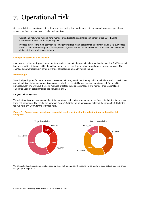# <span id="page-27-0"></span>7. Operational risk

Solvency II defines operational risk as the risk of loss arising from inadequate or failed internal processes, people and systems, or from external events (including legal risk).

- Operational risk, while material for a number of participants, is a smaller component of the SCR than life insurance or market risk for all participants.
- Process failure is the most common risk category included within participants' three most material risks. Process failure covers a broad range of actuarial processes, such as reinsurance and finance processes, execution and delivery failures, and system failures.

#### **Changes in approach over the year**

Just over half of the participants noted that they made changes to the operational risk calibration over 2019. Of these, all had refreshed the data used within the calibration and a very small number had also changed the methodology. The changes generally resulted in either a stronger calibration or a broadly neutral impact.

#### **Methodology**

We asked participants for the number of operational risk categories for which they hold capital. Firms tend to break down operational risk into homogeneous risk categories which represent different types of operational risk for modelling purposes. Each firm will have their own methods of categorising operational risk. The number of operational risk categories used by participants ranges between 6 and 24.

#### **Largest risk categories**

We asked participants how much of their total operational risk capital requirement arises from both their top five and top three risk categories. The results are shown in Figure 7.1. Note that no participants selected the ranges 81-90% for the top five risks or 61-80% for the top three risks.



**Figure 7.1: Proportion of operational risk capital requirement arising from the top three and top five risk categories.**

We also asked each participant to state their top three risk categories. The results varied but have been categorised into broad risk groups in Figure 7.2.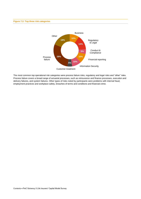#### **Figure 7.2: Top three risk categories**



The most common top operational risk categories were process failure risks, regulatory and legal risks and "other" risks. Process failure covers a broad range of actuarial processes, such as reinsurance and finance processes, execution and delivery failures, and system failures. Other types of risks noted by participants were problems with internal fraud, employment practices and workplace safety, breaches of terms and conditions and financial crime.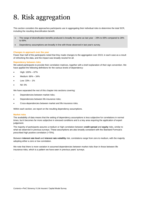# <span id="page-29-0"></span>8. Risk aggregation

This section considers the approaches participants use in aggregating their individual risks to determine the total SCR, including the resulting diversification benefit.

- The range of diversification benefits produced is broadly the same as last year 29% to 69% compared to 28% to 69%.
- Dependency assumptions are broadly in line with those observed in last year's survey.

#### **Changes in approach over the year**

Fewer than half of the participants noted that they made changes to the aggregation over 2019, in each case as a result of refreshing the data, and the impact was broadly neutral for all.

#### **Dependency between risks**

We asked participants to provide their correlation matrices, together with a brief explanation of their sign convention. We have applied the following definitions for the various levels of dependency:

- High: 100% 67%
- Medium: 66% 34%
- Low:  $33% 1%$
- Nil: 0%

We have separated the rest of this chapter into sections covering:

- Dependencies between market risks;
- Dependencies between life insurance risks;
- Cross-dependencies between market and life insurance risks.

Within each section, we report on the resulting dependency assumptions.

#### **Market risks**

.

The availability of data means that the setting of dependency assumptions is less subjective for correlations in normal times, but it becomes far more subjective in stressed conditions and is a key area requiring the application of expert judgement.

The majority of participants assume a medium or high correlation between **credit spread** and **equity** risks, similar to what we observed in previous surveys. These assumptions are also broadly consistent with the Standard Formula's prescribed high positive correlation (+75%).

Between **interest rate level** and **interest rate volatility** risk, correlations range from zero to medium, with the majority adopting either a zero or low correlation.

We note that there is more variation in assumed dependencies between market risks than in those between life insurance risks, which is a pattern we have seen in previous years' surveys.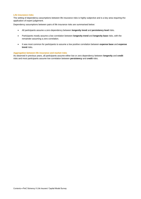#### **Life insurance risks**

The setting of dependency assumptions between life insurance risks is highly subjective and is a key area requiring the application of expert judgement.

Dependency assumptions between pairs of life insurance risks are summarised below:

- All participants assume a zero dependency between **longevity trend** and **persistency level** risks.
- Participants mostly assume a low correlation between **longevity trend** and **longevity base** risks, with the remainder assuming a zero correlation.
- It was most common for participants to assume a low positive correlation between **expense base** and **expense trend** risks.

#### **Aggregation between life insurance and market risks**

As observed in previous years, all participants assume either low or zero dependency between **longevity** and **credit** risks and most participants assume low correlation between **persistency** and **credit** risks.